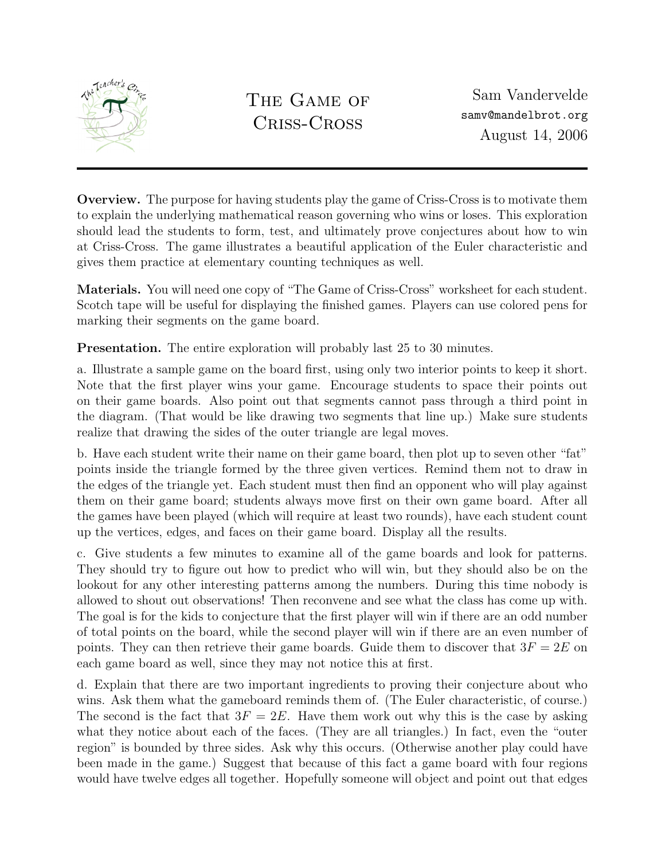

THE GAME OF Criss-Cross

Sam Vandervelde samv@mandelbrot.org August 14, 2006

Overview. The purpose for having students play the game of Criss-Cross is to motivate them to explain the underlying mathematical reason governing who wins or loses. This exploration should lead the students to form, test, and ultimately prove conjectures about how to win at Criss-Cross. The game illustrates a beautiful application of the Euler characteristic and gives them practice at elementary counting techniques as well.

Materials. You will need one copy of "The Game of Criss-Cross" worksheet for each student. Scotch tape will be useful for displaying the finished games. Players can use colored pens for marking their segments on the game board.

Presentation. The entire exploration will probably last 25 to 30 minutes.

a. Illustrate a sample game on the board first, using only two interior points to keep it short. Note that the first player wins your game. Encourage students to space their points out on their game boards. Also point out that segments cannot pass through a third point in the diagram. (That would be like drawing two segments that line up.) Make sure students realize that drawing the sides of the outer triangle are legal moves.

b. Have each student write their name on their game board, then plot up to seven other "fat" points inside the triangle formed by the three given vertices. Remind them not to draw in the edges of the triangle yet. Each student must then find an opponent who will play against them on their game board; students always move first on their own game board. After all the games have been played (which will require at least two rounds), have each student count up the vertices, edges, and faces on their game board. Display all the results.

c. Give students a few minutes to examine all of the game boards and look for patterns. They should try to figure out how to predict who will win, but they should also be on the lookout for any other interesting patterns among the numbers. During this time nobody is allowed to shout out observations! Then reconvene and see what the class has come up with. The goal is for the kids to conjecture that the first player will win if there are an odd number of total points on the board, while the second player will win if there are an even number of points. They can then retrieve their game boards. Guide them to discover that  $3F = 2E$  on each game board as well, since they may not notice this at first.

d. Explain that there are two important ingredients to proving their conjecture about who wins. Ask them what the gameboard reminds them of. (The Euler characteristic, of course.) The second is the fact that  $3F = 2E$ . Have them work out why this is the case by asking what they notice about each of the faces. (They are all triangles.) In fact, even the "outer region" is bounded by three sides. Ask why this occurs. (Otherwise another play could have been made in the game.) Suggest that because of this fact a game board with four regions would have twelve edges all together. Hopefully someone will object and point out that edges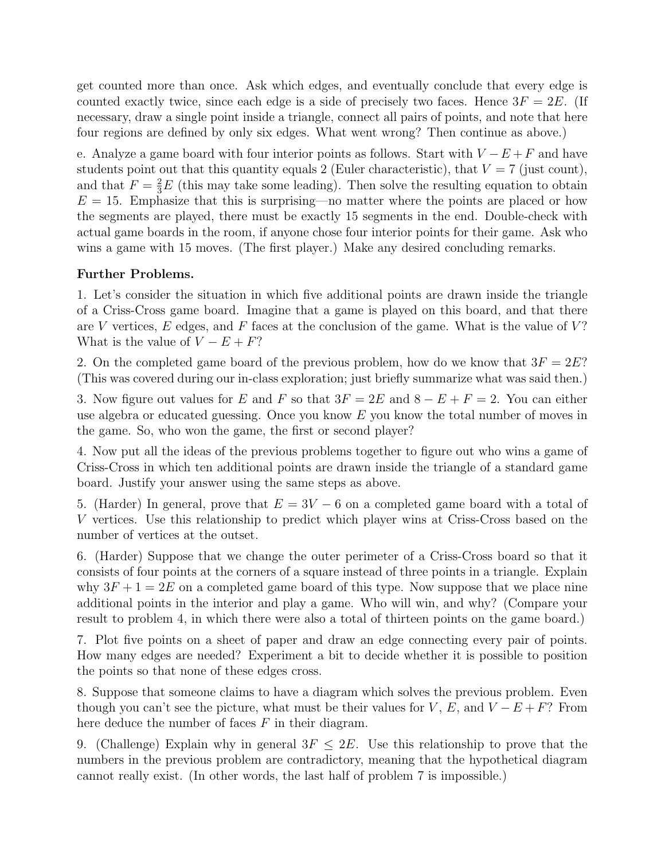get counted more than once. Ask which edges, and eventually conclude that every edge is counted exactly twice, since each edge is a side of precisely two faces. Hence  $3F = 2E$ . (If necessary, draw a single point inside a triangle, connect all pairs of points, and note that here four regions are defined by only six edges. What went wrong? Then continue as above.)

e. Analyze a game board with four interior points as follows. Start with  $V - E + F$  and have students point out that this quantity equals 2 (Euler characteristic), that  $V = 7$  (just count), and that  $F = \frac{2}{3}E$  (this may take some leading). Then solve the resulting equation to obtain  $E = 15$ . Emphasize that this is surprising—no matter where the points are placed or how the segments are played, there must be exactly 15 segments in the end. Double-check with actual game boards in the room, if anyone chose four interior points for their game. Ask who wins a game with 15 moves. (The first player.) Make any desired concluding remarks.

## Further Problems.

1. Let's consider the situation in which five additional points are drawn inside the triangle of a Criss-Cross game board. Imagine that a game is played on this board, and that there are V vertices,  $E$  edges, and  $F$  faces at the conclusion of the game. What is the value of  $V$ ? What is the value of  $V - E + F$ ?

2. On the completed game board of the previous problem, how do we know that  $3F = 2E$ ? (This was covered during our in-class exploration; just briefly summarize what was said then.)

3. Now figure out values for E and F so that  $3F = 2E$  and  $8 - E + F = 2$ . You can either use algebra or educated guessing. Once you know  $E$  you know the total number of moves in the game. So, who won the game, the first or second player?

4. Now put all the ideas of the previous problems together to figure out who wins a game of Criss-Cross in which ten additional points are drawn inside the triangle of a standard game board. Justify your answer using the same steps as above.

5. (Harder) In general, prove that  $E = 3V - 6$  on a completed game board with a total of V vertices. Use this relationship to predict which player wins at Criss-Cross based on the number of vertices at the outset.

6. (Harder) Suppose that we change the outer perimeter of a Criss-Cross board so that it consists of four points at the corners of a square instead of three points in a triangle. Explain why  $3F + 1 = 2E$  on a completed game board of this type. Now suppose that we place nine additional points in the interior and play a game. Who will win, and why? (Compare your result to problem 4, in which there were also a total of thirteen points on the game board.)

7. Plot five points on a sheet of paper and draw an edge connecting every pair of points. How many edges are needed? Experiment a bit to decide whether it is possible to position the points so that none of these edges cross.

8. Suppose that someone claims to have a diagram which solves the previous problem. Even though you can't see the picture, what must be their values for V, E, and  $V - E + F$ ? From here deduce the number of faces  $F$  in their diagram.

9. (Challenge) Explain why in general  $3F \leq 2E$ . Use this relationship to prove that the numbers in the previous problem are contradictory, meaning that the hypothetical diagram cannot really exist. (In other words, the last half of problem 7 is impossible.)